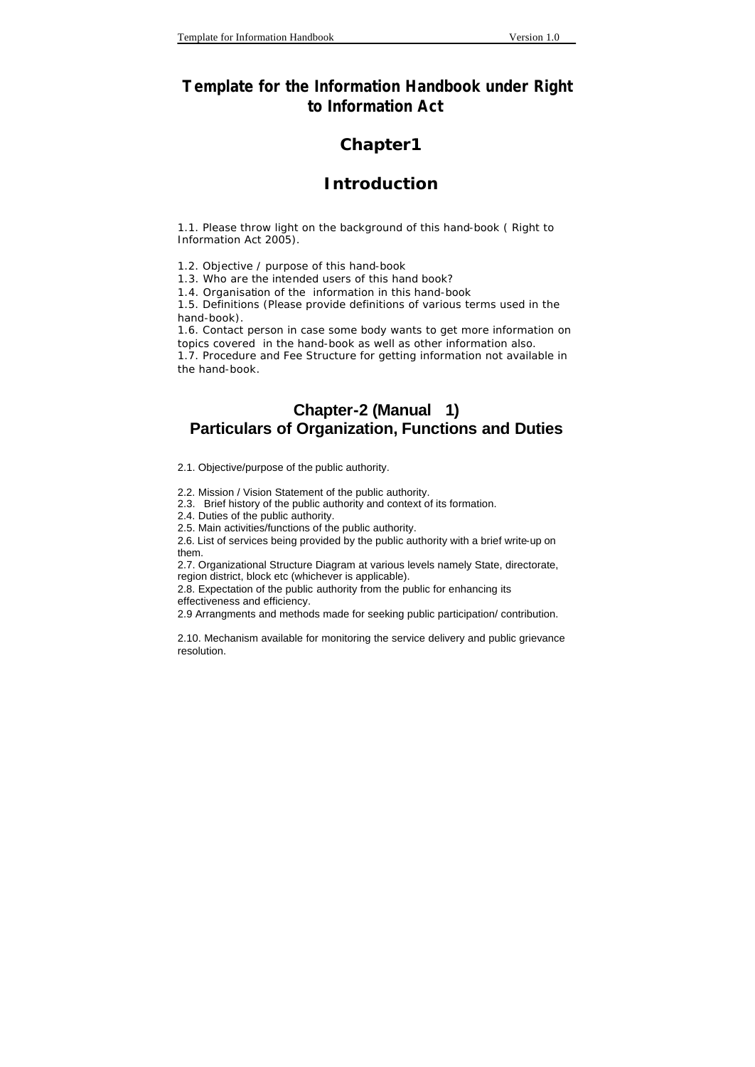## **Template for the Information Handbook under Right to Information Act**

### **Chapter1**

#### **Introduction**

1.1. Please throw light on the background of this hand-book ( Right to Information Act 2005).

1.2. Objective / purpose of this hand-book

1.3. Who are the intended users of this hand book?

1.4. Organisation of the information in this hand-book

1.5. Definitions (Please provide definitions of various terms used in the hand-book).

1.6. Contact person in case some body wants to get more information on topics covered in the hand-book as well as other information also.

1.7. Procedure and Fee Structure for getting information not available in the hand-book.

## **Chapter-2 (Manual 1) Particulars of Organization, Functions and Duties**

2.1. Objective/purpose of the public authority.

2.2. Mission / Vision Statement of the public authority.

2.3. Brief history of the public authority and context of its formation.

2.4. Duties of the public authority.

2.5. Main activities/functions of the public authority.

2.6. List of services being provided by the public authority with a brief write-up on them.

2.7. Organizational Structure Diagram at various levels namely State, directorate, region district, block etc (whichever is applicable).

2.8. Expectation of the public authority from the public for enhancing its

effectiveness and efficiency.

2.9 Arrangments and methods made for seeking public participation/ contribution.

2.10. Mechanism available for monitoring the service delivery and public grievance resolution.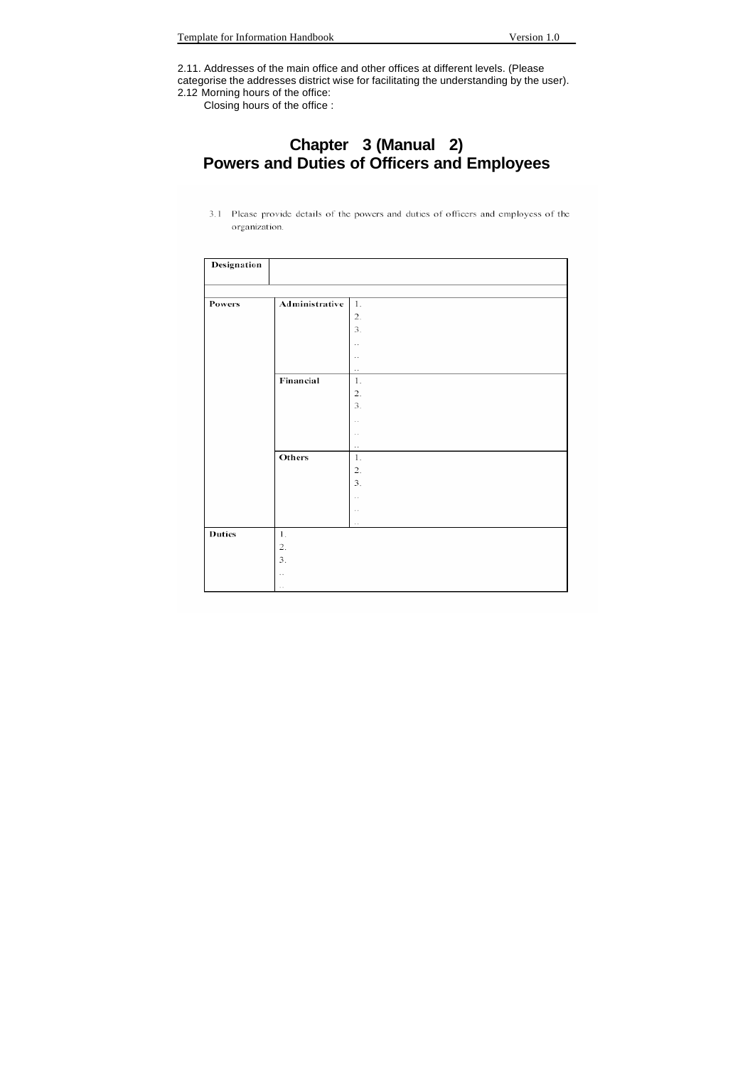2.11. Addresses of the main office and other offices at different levels. (Please categorise the addresses district wise for facilitating the understanding by the user). 2.12 Morning hours of the office:

Closing hours of the office :

## **Chapter 3 (Manual 2) Powers and Duties of Officers and Employees**

3.1 Please provide details of the powers and duties of officers and employess of the organization.

| Designation   |                          |                       |
|---------------|--------------------------|-----------------------|
|               |                          |                       |
| Powers        | Administrative           | 1.                    |
|               |                          | $2.$                  |
|               |                          | 3.                    |
|               |                          | $\bar{\phantom{a}}$   |
|               |                          | $\sim$                |
|               |                          | $\ddot{\phantom{a}}$  |
|               | Financial                | $1\!\!1$              |
|               |                          | $\overline{2}$ .      |
|               |                          | 3.                    |
|               |                          | .,                    |
|               |                          | $\bar{\phantom{a}}$ . |
|               |                          | $\ddot{\phantom{a}}$  |
|               | Others                   | $1.$                  |
|               |                          | $\mathfrak{2}.$       |
|               |                          | 3.                    |
|               |                          | μ,                    |
|               |                          | $\cdot$ .             |
|               |                          | $\sim$                |
| <b>Duties</b> | $1.$                     |                       |
|               | 2.                       |                       |
|               | 3.                       |                       |
|               | $\overline{\phantom{a}}$ |                       |
|               | $\overline{\phantom{a}}$ |                       |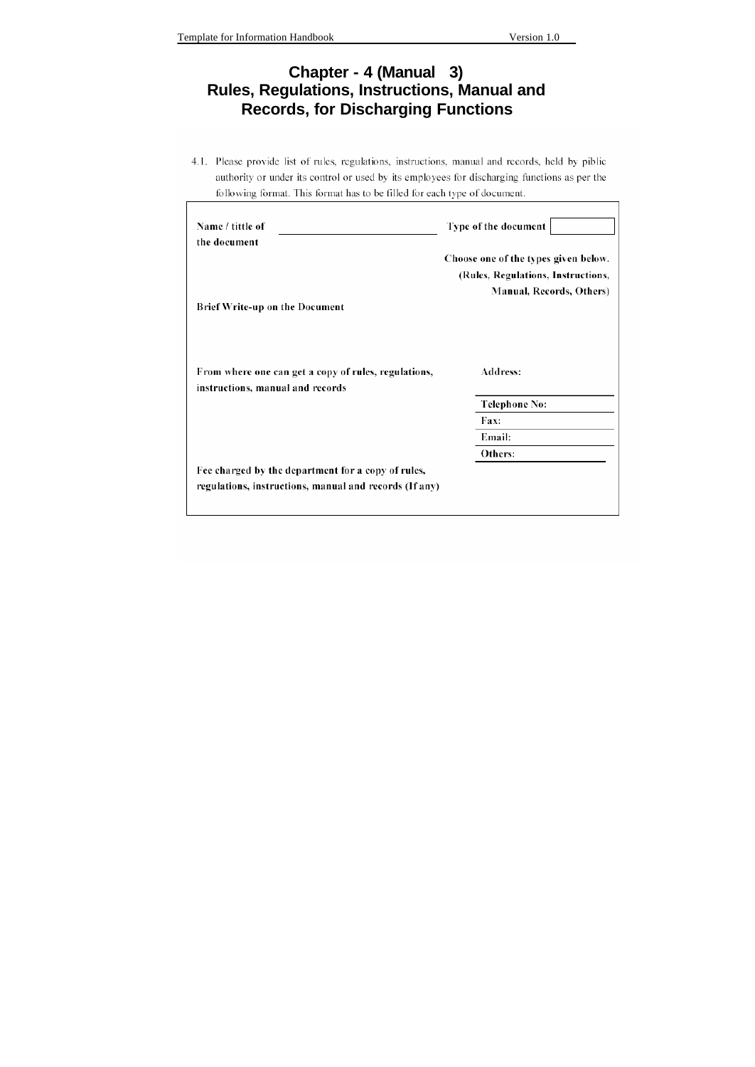# **Chapter - 4 (Manual 3) Rules, Regulations, Instructions, Manual and Records, for Discharging Functions**

4.1. Please provide list of rules, regulations, instructions, manual and records, held by piblic authority or under its control or used by its employees for discharging functions as per the following format. This format has to be filled for each type of document.

| Name / tittle of<br>the document                                                         | Type of the document                                                                                   |
|------------------------------------------------------------------------------------------|--------------------------------------------------------------------------------------------------------|
|                                                                                          | Choose one of the types given below.<br>(Rules, Regulations, Instructions,<br>Manual, Records, Others) |
| <b>Brief Write-up on the Document</b>                                                    |                                                                                                        |
| From where one can get a copy of rules, regulations,<br>instructions, manual and records | Address:                                                                                               |
|                                                                                          | Telephone No:                                                                                          |
|                                                                                          | Fax:                                                                                                   |
|                                                                                          | Email:                                                                                                 |
|                                                                                          | Others:                                                                                                |
| Fee charged by the department for a copy of rules,                                       |                                                                                                        |
| regulations, instructions, manual and records (If any)                                   |                                                                                                        |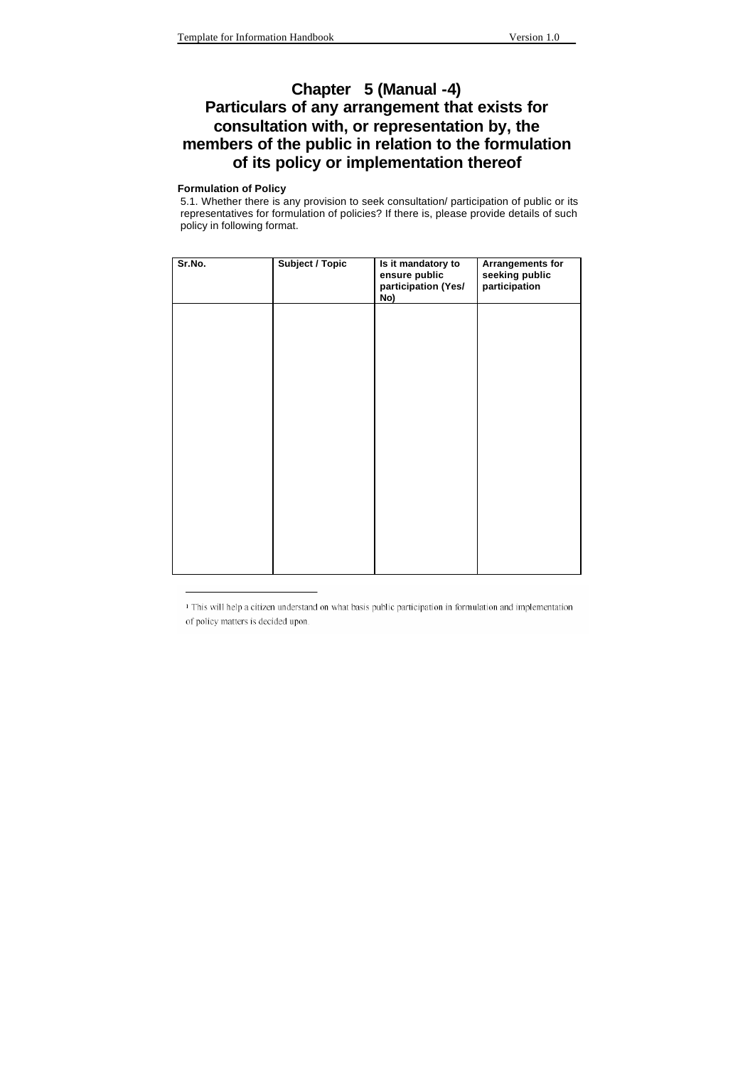## **Chapter 5 (Manual -4) Particulars of any arrangement that exists for consultation with, or representation by, the members of the public in relation to the formulation of its policy or implementation thereof**

#### **Formulation of Policy**

5.1. Whether there is any provision to seek consultation/ participation of public or its representatives for formulation of policies? If there is, please provide details of such policy in following format.

| Sr.No. | <b>Subject / Topic</b> | Is it mandatory to<br>ensure public<br>participation (Yes/<br>No) | <b>Arrangements for</b><br>seeking public<br>participation |
|--------|------------------------|-------------------------------------------------------------------|------------------------------------------------------------|
|        |                        |                                                                   |                                                            |
|        |                        |                                                                   |                                                            |
|        |                        |                                                                   |                                                            |
|        |                        |                                                                   |                                                            |
|        |                        |                                                                   |                                                            |
|        |                        |                                                                   |                                                            |

<sup>&</sup>lt;sup>1</sup> This will help a citizen understand on what basis public participation in formulation and implementation of policy matters is decided upon.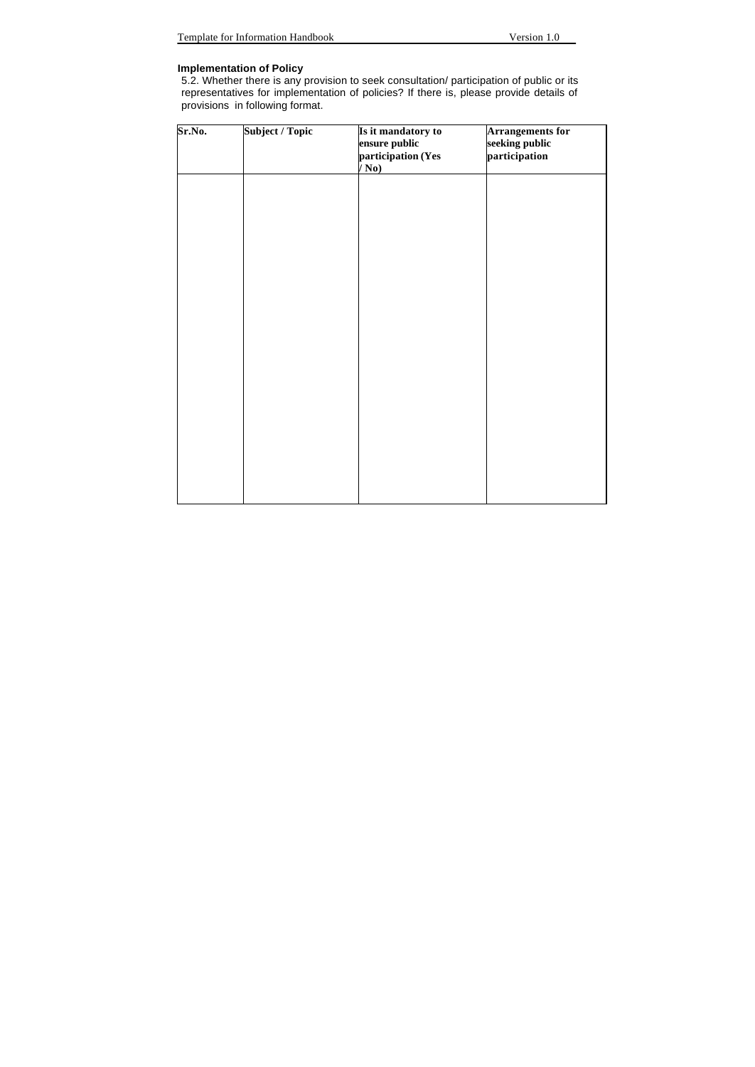#### **Implementation of Policy**

5.2. Whether there is any provision to seek consultation/ participation of public or its representatives for implementation of policies? If there is, please provide details of provisions in following format.

| Sr.No. | Subject / Topic | Is it mandatory to<br>ensure public<br>participation (Yes<br>$\bar{\mathbf{N}}$ o) | <b>Arrangements for</b><br>seeking public<br>participation |
|--------|-----------------|------------------------------------------------------------------------------------|------------------------------------------------------------|
|        |                 |                                                                                    |                                                            |
|        |                 |                                                                                    |                                                            |
|        |                 |                                                                                    |                                                            |
|        |                 |                                                                                    |                                                            |
|        |                 |                                                                                    |                                                            |
|        |                 |                                                                                    |                                                            |
|        |                 |                                                                                    |                                                            |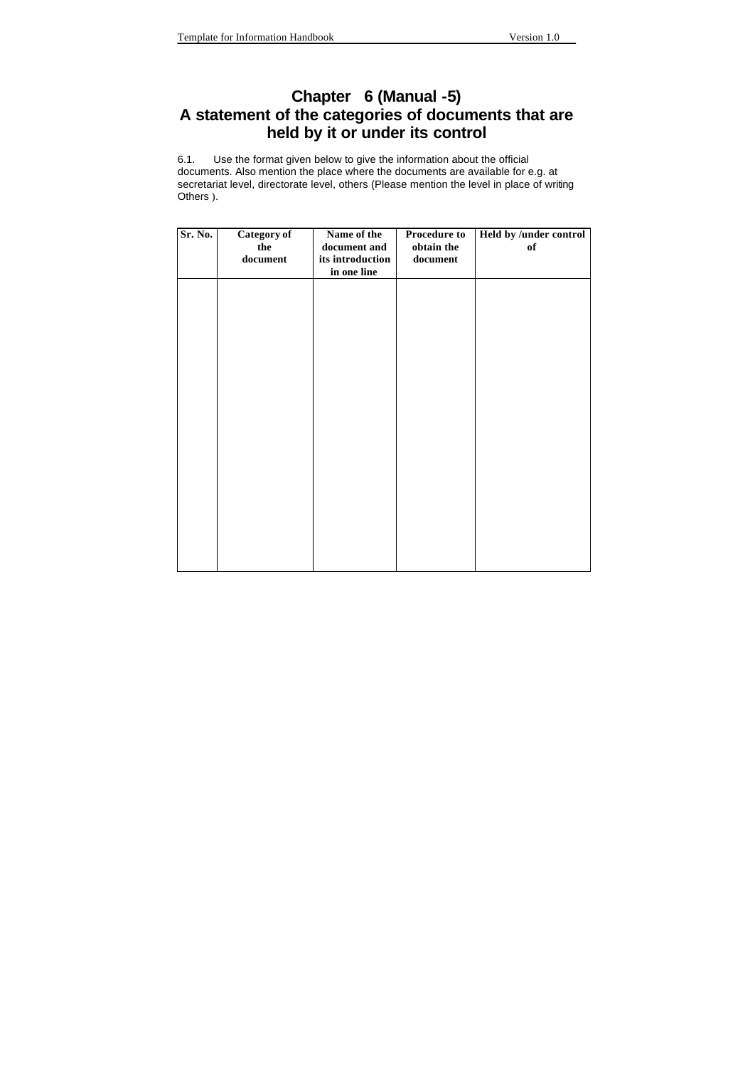## **Chapter 6 (Manual -5) A statement of the categories of documents that are held by it or under its control**

6.1. Use the format given below to give the information about the official documents. Also mention the place where the documents are available for e.g. at secretariat level, directorate level, others (Please mention the level in place of writing Others ).

| the<br>document | Name of the<br>document and<br>its introduction<br>in one line | <b>Procedure to</b><br>obtain the<br>document | Held by /under control<br>of |
|-----------------|----------------------------------------------------------------|-----------------------------------------------|------------------------------|
|                 |                                                                |                                               |                              |
|                 |                                                                |                                               |                              |
|                 |                                                                |                                               |                              |
|                 |                                                                |                                               |                              |
|                 |                                                                |                                               |                              |
|                 |                                                                |                                               |                              |
|                 | Category of                                                    |                                               |                              |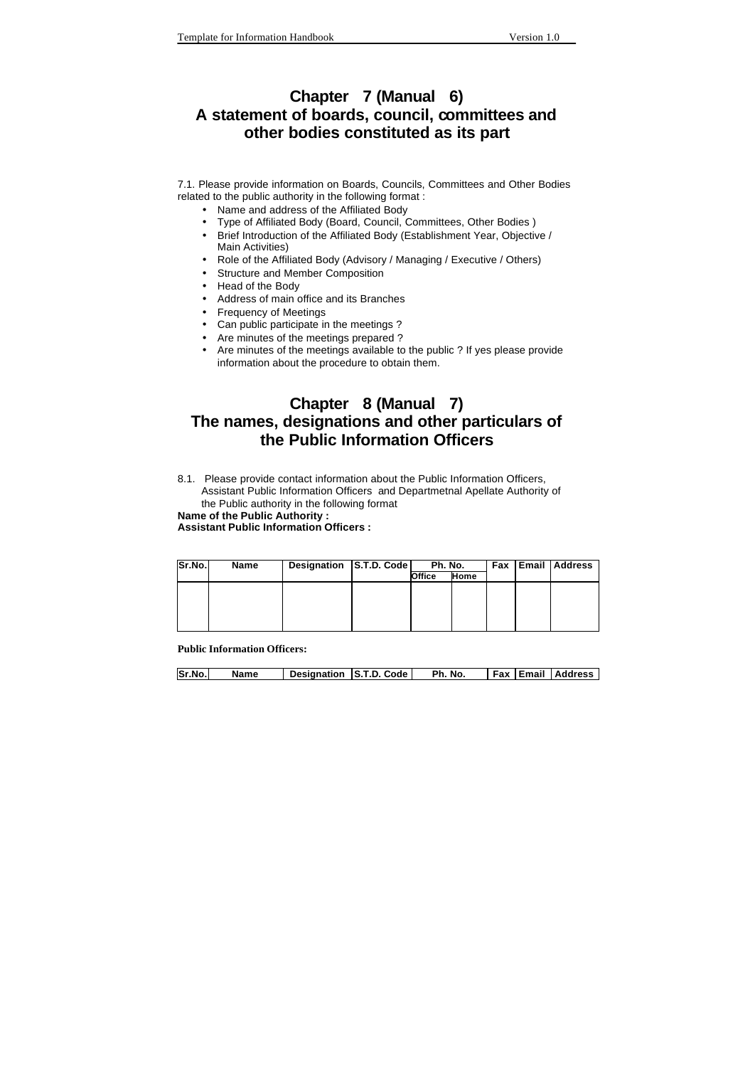## **Chapter 7 (Manual 6) A statement of boards, council, committees and other bodies constituted as its part**

7.1. Please provide information on Boards, Councils, Committees and Other Bodies related to the public authority in the following format :

- Name and address of the Affiliated Body
- Type of Affiliated Body (Board, Council, Committees, Other Bodies )
- Brief Introduction of the Affiliated Body (Establishment Year, Objective / Main Activities)
- Role of the Affiliated Body (Advisory / Managing / Executive / Others)
- Structure and Member Composition
- Head of the Body
- Address of main office and its Branches
- Frequency of Meetings
- Can public participate in the meetings ?
- Are minutes of the meetings prepared ?
- Are minutes of the meetings available to the public ? If yes please provide information about the procedure to obtain them.

## **Chapter 8 (Manual 7) The names, designations and other particulars of the Public Information Officers**

8.1. Please provide contact information about the Public Information Officers, Assistant Public Information Officers and Departmetnal Apellate Authority of the Public authority in the following format

**Name of the Public Authority :** 

**Assistant Public Information Officers :** 

| <b>Sr.No.I</b> | Name | Designation S.T.D. Code | Ph. No. |             |  | <b>Fax Email Address</b> |
|----------------|------|-------------------------|---------|-------------|--|--------------------------|
|                |      |                         | Office  | <b>Home</b> |  |                          |
|                |      |                         |         |             |  |                          |
|                |      |                         |         |             |  |                          |
|                |      |                         |         |             |  |                          |
|                |      |                         |         |             |  |                          |
|                |      |                         |         |             |  |                          |

**Public Information Officers:**

| <b>Sr.No.</b> | Name | Designation S.T.D. Code | Ph. No. |  | <b>Fax Email Address</b> |
|---------------|------|-------------------------|---------|--|--------------------------|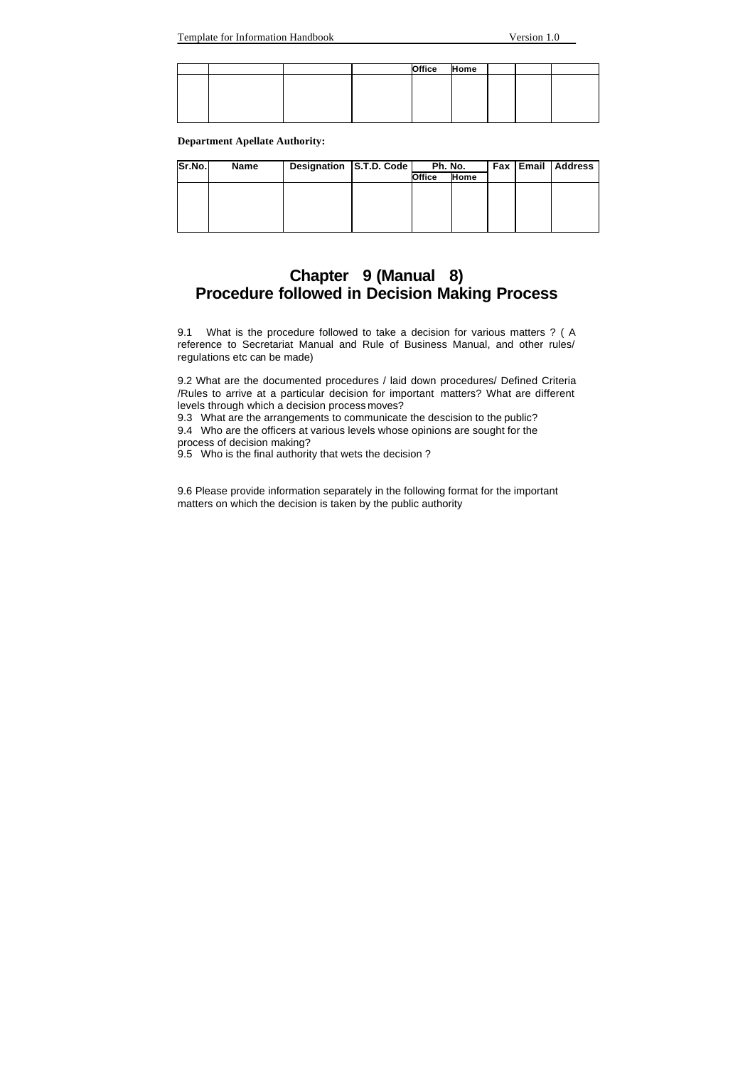|  |  | Office | Home |  |  |
|--|--|--------|------|--|--|
|  |  |        |      |  |  |
|  |  |        |      |  |  |
|  |  |        |      |  |  |
|  |  |        |      |  |  |
|  |  |        |      |  |  |

**Department Apellate Authority:**

| Sr.No. | Name | Designation S.T.D. Code |        | Ph. No.     |  | Fax Email Address |
|--------|------|-------------------------|--------|-------------|--|-------------------|
|        |      |                         | Office | <b>Home</b> |  |                   |
|        |      |                         |        |             |  |                   |
|        |      |                         |        |             |  |                   |
|        |      |                         |        |             |  |                   |
|        |      |                         |        |             |  |                   |
|        |      |                         |        |             |  |                   |

## **Chapter 9 (Manual 8) Procedure followed in Decision Making Process**

9.1 What is the procedure followed to take a decision for various matters ? ( A reference to Secretariat Manual and Rule of Business Manual, and other rules/ regulations etc can be made)

9.2 What are the documented procedures / laid down procedures/ Defined Criteria /Rules to arrive at a particular decision for important matters? What are different levels through which a decision process moves?

9.3 What are the arrangements to communicate the descision to the public?

9.4 Who are the officers at various levels whose opinions are sought for the process of decision making?

9.5 Who is the final authority that wets the decision ?

9.6 Please provide information separately in the following format for the important matters on which the decision is taken by the public authority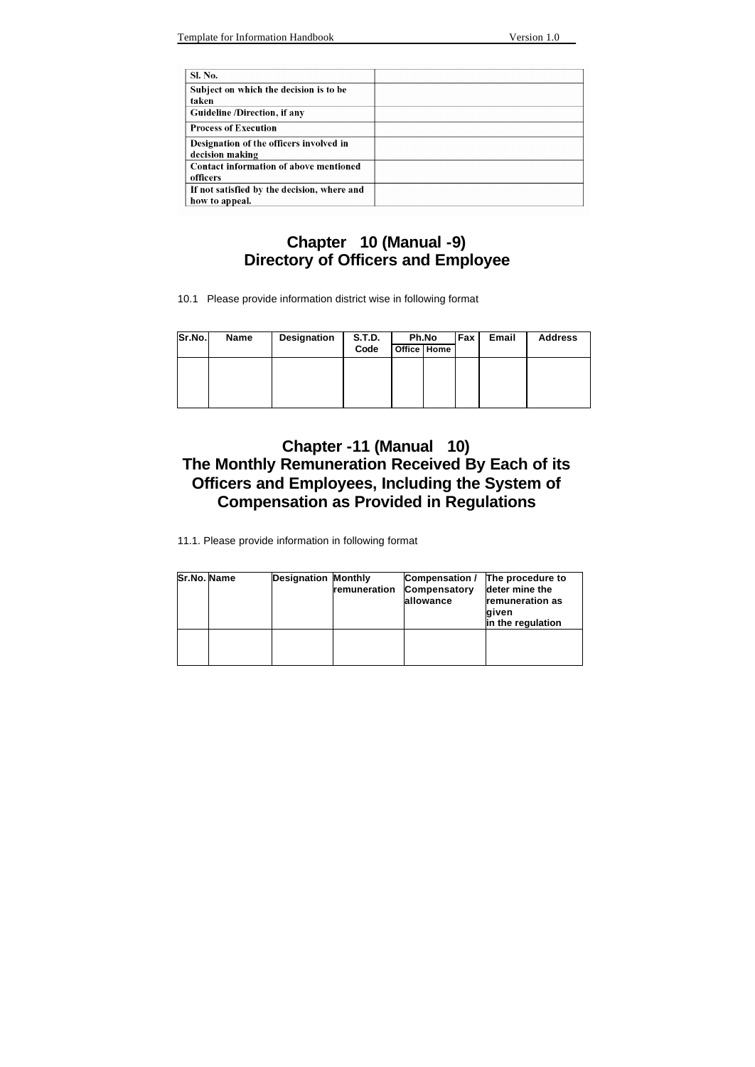| Sl. No.                                     |  |
|---------------------------------------------|--|
| Subject on which the decision is to be      |  |
| taken                                       |  |
| Guideline /Direction, if any                |  |
| <b>Process of Execution</b>                 |  |
| Designation of the officers involved in     |  |
| decision making                             |  |
| Contact information of above mentioned      |  |
| officers                                    |  |
| If not satisfied by the decision, where and |  |
| how to appeal.                              |  |

# **Chapter 10 (Manual -9) Directory of Officers and Employee**

10.1 Please provide information district wise in following format

| Sr.No. | <b>Name</b> | Designation | S.T.D. | Ph.No       | Fax I | Email | <b>Address</b> |
|--------|-------------|-------------|--------|-------------|-------|-------|----------------|
|        |             |             | Code   | Office Home |       |       |                |
|        |             |             |        |             |       |       |                |
|        |             |             |        |             |       |       |                |
|        |             |             |        |             |       |       |                |
|        |             |             |        |             |       |       |                |

# **Chapter -11 (Manual 10) The Monthly Remuneration Received By Each of its Officers and Employees, Including the System of Compensation as Provided in Regulations**

11.1. Please provide information in following format

| Sr.No. Name | <b>Designation Monthly</b> | remuneration | Compensation / The procedure to<br>Compensatory<br>allowance | deter mine the<br>remuneration as<br>qiven<br>in the regulation |
|-------------|----------------------------|--------------|--------------------------------------------------------------|-----------------------------------------------------------------|
|             |                            |              |                                                              |                                                                 |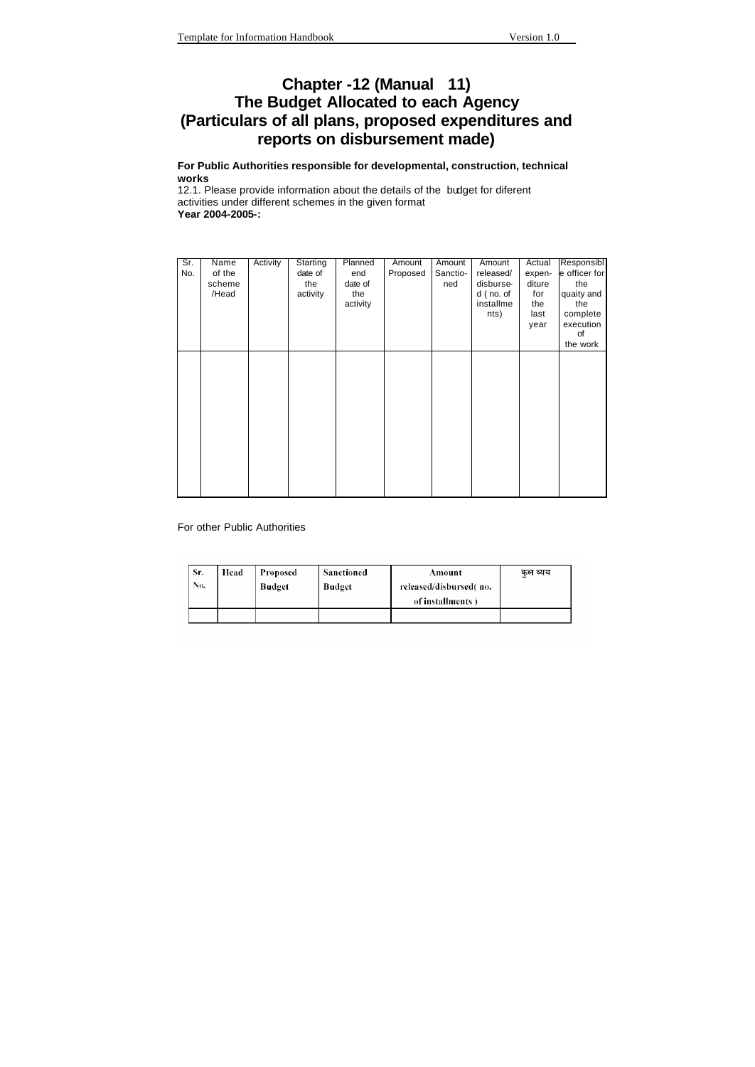## **Chapter -12 (Manual 11) The Budget Allocated to each Agency (Particulars of all plans, proposed expenditures and reports on disbursement made)**

**For Public Authorities responsible for developmental, construction, technical works** 

12.1. Please provide information about the details of the budget for diferent activities under different schemes in the given format **Year 2004-2005-:** 

| Sr. | Name   | Activity | Starting | Planned  | Amount   | Amount   | Amount    | Actual | Responsibl    |
|-----|--------|----------|----------|----------|----------|----------|-----------|--------|---------------|
| No. | of the |          | date of  | end      | Proposed | Sanctio- | released/ | expen- | e officer for |
|     | scheme |          | the      | date of  |          | ned      | disburse- | diture | the           |
|     | /Head  |          | activity | the      |          |          | d (no. of | for    | quaity and    |
|     |        |          |          | activity |          |          | installme | the    | the           |
|     |        |          |          |          |          |          | nts)      | last   | complete      |
|     |        |          |          |          |          |          |           | year   | execution     |
|     |        |          |          |          |          |          |           |        | of            |
|     |        |          |          |          |          |          |           |        | the work      |
|     |        |          |          |          |          |          |           |        |               |
|     |        |          |          |          |          |          |           |        |               |
|     |        |          |          |          |          |          |           |        |               |
|     |        |          |          |          |          |          |           |        |               |
|     |        |          |          |          |          |          |           |        |               |
|     |        |          |          |          |          |          |           |        |               |
|     |        |          |          |          |          |          |           |        |               |
|     |        |          |          |          |          |          |           |        |               |
|     |        |          |          |          |          |          |           |        |               |
|     |        |          |          |          |          |          |           |        |               |
|     |        |          |          |          |          |          |           |        |               |
|     |        |          |          |          |          |          |           |        |               |
|     |        |          |          |          |          |          |           |        |               |
|     |        |          |          |          |          |          |           |        |               |

For other Public Authorities

| Sr. | Head | Proposed      | Sanctioned | Amount                 | कल व्यय |
|-----|------|---------------|------------|------------------------|---------|
| No. |      | <b>Budget</b> | Budget     | released/disbursed(no. |         |
|     |      |               |            | of installments)       |         |
|     |      |               |            |                        |         |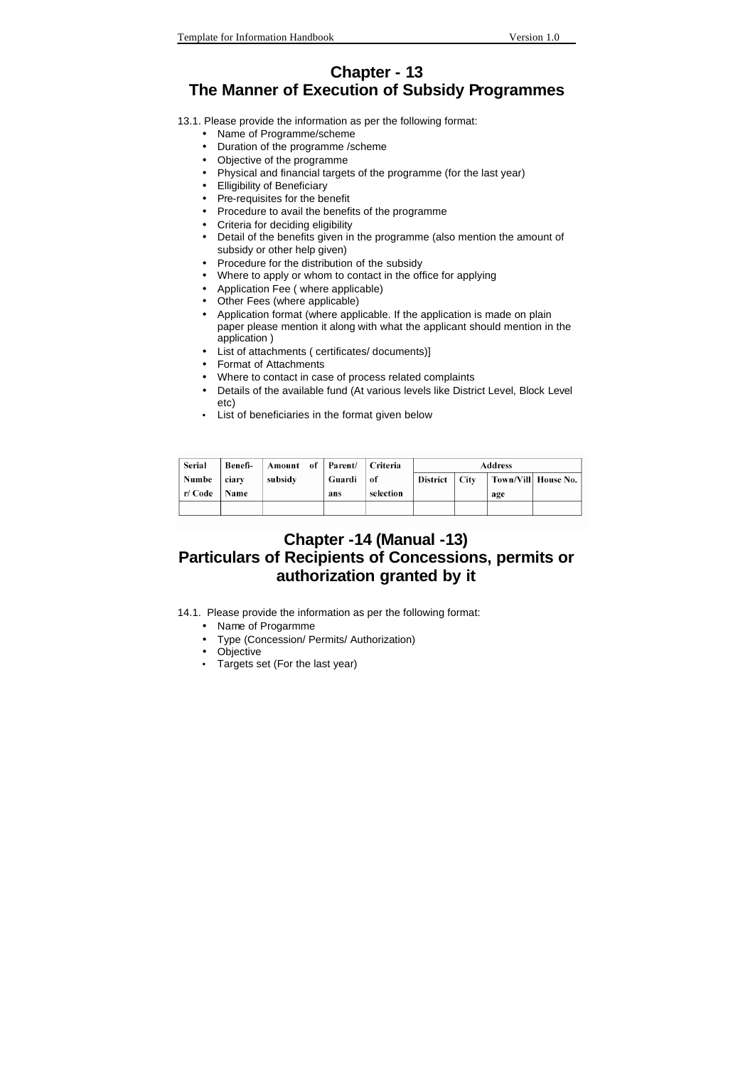### **Chapter - 13 The Manner of Execution of Subsidy Programmes**

13.1. Please provide the information as per the following format:

- Name of Programme/scheme
- Duration of the programme /scheme
- Objective of the programme
- Physical and financial targets of the programme (for the last year)
- Elligibility of Beneficiary
- Pre-requisites for the benefit
- Procedure to avail the benefits of the programme
- Criteria for deciding eligibility
- Detail of the benefits given in the programme (also mention the amount of subsidy or other help given)
- Procedure for the distribution of the subsidy
- Where to apply or whom to contact in the office for applying
- Application Fee ( where applicable)
- Other Fees (where applicable)
- Application format (where applicable. If the application is made on plain paper please mention it along with what the applicant should mention in the application )
- List of attachments ( certificates/ documents)]
- Format of Attachments
- Where to contact in case of process related complaints
- Details of the available fund (At various levels like District Level, Block Level etc)
- List of beneficiaries in the format given below

| Serial  | Benefi- | Amount of Parent/ Criteria |        |           | <b>Address</b> |          |     |                      |
|---------|---------|----------------------------|--------|-----------|----------------|----------|-----|----------------------|
| Numbe   | ciarv   | subsidy                    | Guardi | of        | District       | $ $ City |     | Town/Vill  House No. |
| r/ Code | Name    |                            | ans    | selection |                |          | age |                      |
|         |         |                            |        |           |                |          |     |                      |

## **Chapter -14 (Manual -13) Particulars of Recipients of Concessions, permits or authorization granted by it**

- 14.1. Please provide the information as per the following format:
	- Name of Progarmme
	- Type (Concession/ Permits/ Authorization)
	- Objective
	- Targets set (For the last year)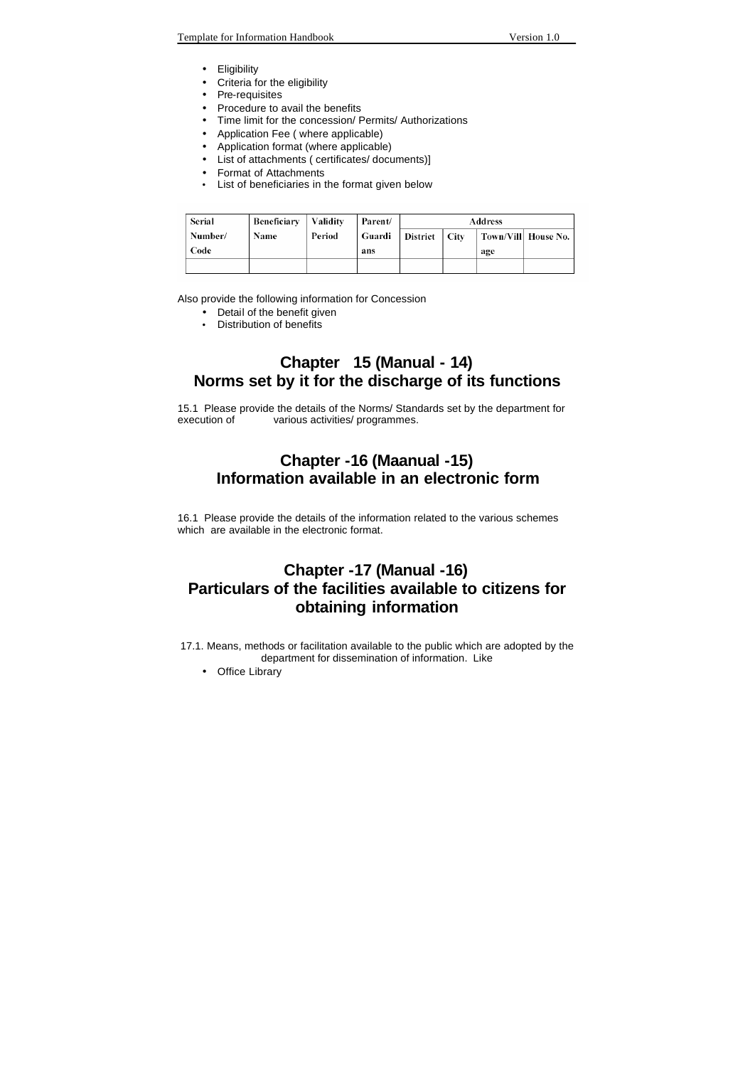- Eligibility
- Criteria for the eligibility
- Pre-requisites
- Procedure to avail the benefits
- Time limit for the concession/ Permits/ Authorizations
- Application Fee ( where applicable)
- Application format (where applicable)
- List of attachments ( certificates/ documents)]
- Format of Attachments
- List of beneficiaries in the format given below

| Serial  | Beneficiary | $\vert$ Validity | Parent/                  | Address |  |     |                      |
|---------|-------------|------------------|--------------------------|---------|--|-----|----------------------|
| Number/ | Name        | Period           | Guardi   District   City |         |  |     | Town/Vill  House No. |
| Code    |             |                  | ans                      |         |  | age |                      |
|         |             |                  |                          |         |  |     |                      |

Also provide the following information for Concession

- Detail of the benefit given
- Distribution of benefits

### **Chapter 15 (Manual - 14) Norms set by it for the discharge of its functions**

15.1 Please provide the details of the Norms/ Standards set by the department for various activities/ programmes.

### **Chapter -16 (Maanual -15) Information available in an electronic form**

16.1 Please provide the details of the information related to the various schemes which are available in the electronic format.

## **Chapter -17 (Manual -16) Particulars of the facilities available to citizens for obtaining information**

17.1. Means, methods or facilitation available to the public which are adopted by the department for dissemination of information. Like

• Office Library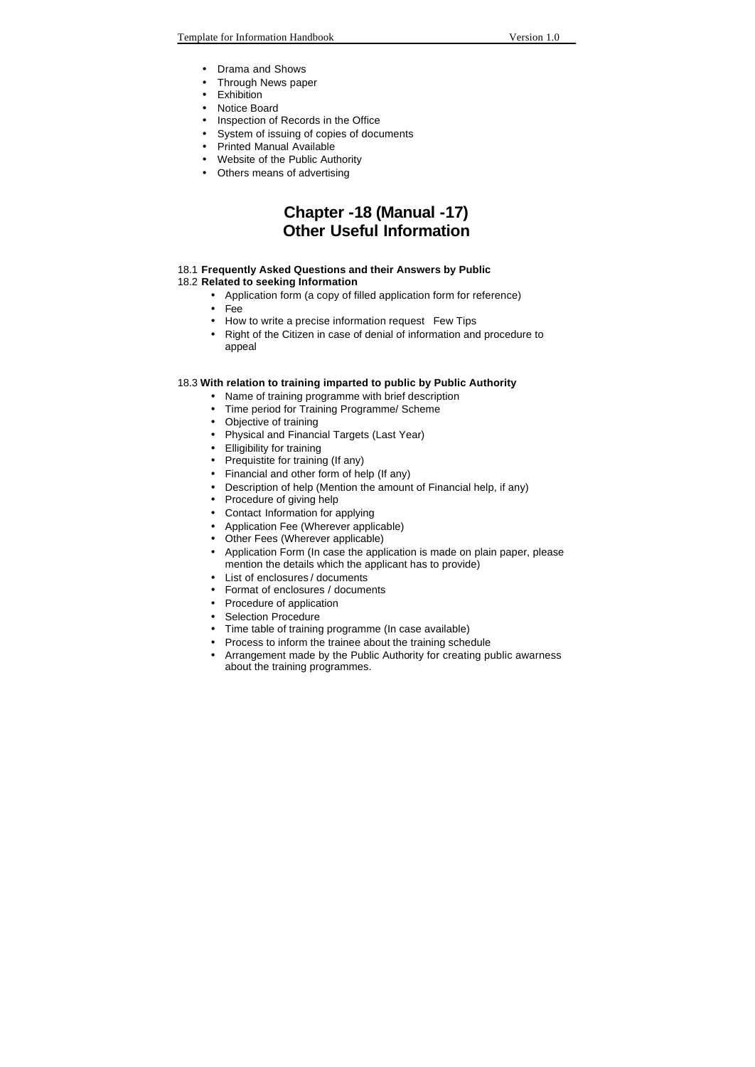- Drama and Shows
- Through News paper
- Exhibition
- Notice Board
- Inspection of Records in the Office
- System of issuing of copies of documents
- Printed Manual Available
- Website of the Public Authority
- Others means of advertising

### **Chapter -18 (Manual -17) Other Useful Information**

#### 18.1 **Frequently Asked Questions and their Answers by Public**

- 18.2 **Related to seeking Information** 
	- Application form (a copy of filled application form for reference)
	- Fee
	- How to write a precise information request Few Tips
	- Right of the Citizen in case of denial of information and procedure to appeal

#### 18.3 **With relation to training imparted to public by Public Authority**

- Name of training programme with brief description
- Time period for Training Programme/ Scheme
- Objective of training
- Physical and Financial Targets (Last Year)
- Elligibility for training
- Prequistite for training (If any)
- Financial and other form of help (If any)
- Description of help (Mention the amount of Financial help, if any)
- Procedure of giving help
- Contact Information for applying
- Application Fee (Wherever applicable)
- Other Fees (Wherever applicable)
- Application Form (In case the application is made on plain paper, please mention the details which the applicant has to provide)
- List of enclosures / documents
- Format of enclosures / documents
- Procedure of application
- Selection Procedure
- Time table of training programme (In case available)
- Process to inform the trainee about the training schedule
- Arrangement made by the Public Authority for creating public awarness about the training programmes.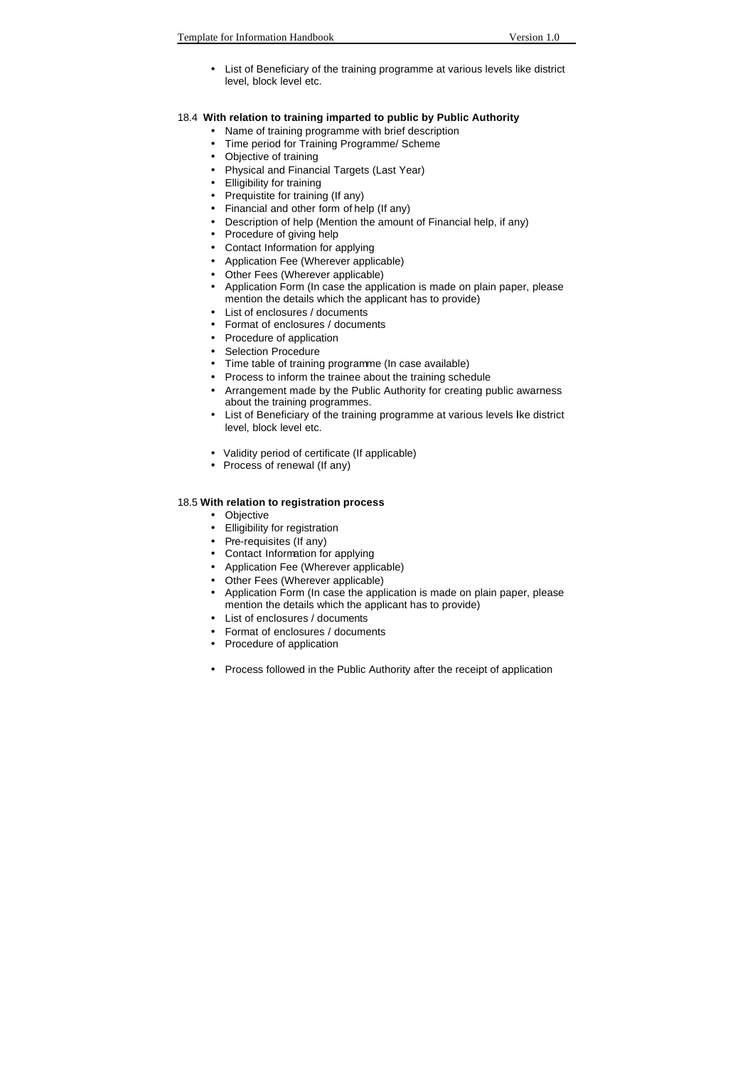• List of Beneficiary of the training programme at various levels like district level, block level etc.

#### 18.4 **With relation to training imparted to public by Public Authority**

- Name of training programme with brief description
- Time period for Training Programme/ Scheme
- Objective of training
- Physical and Financial Targets (Last Year)
- Elligibility for training
- Prequistite for training (If any)
- Financial and other form of help (If any)
- Description of help (Mention the amount of Financial help, if any)
- Procedure of giving help
- Contact Information for applying
- Application Fee (Wherever applicable)
- Other Fees (Wherever applicable)
- Application Form (In case the application is made on plain paper, please mention the details which the applicant has to provide)
- List of enclosures / documents
- Format of enclosures / documents
- Procedure of application
- Selection Procedure
- Time table of training programme (In case available)
- Process to inform the trainee about the training schedule
- Arrangement made by the Public Authority for creating public awarness about the training programmes.
- List of Beneficiary of the training programme at various levels like district level, block level etc.
- Validity period of certificate (If applicable)
- Process of renewal (If any)

#### 18.5 **With relation to registration process**

- Objective
- Elligibility for registration
- Pre-requisites (If any)
- Contact Information for applying
- Application Fee (Wherever applicable)
- Other Fees (Wherever applicable)
- Application Form (In case the application is made on plain paper, please mention the details which the applicant has to provide)
- List of enclosures / documents
- Format of enclosures / documents
- Procedure of application
- Process followed in the Public Authority after the receipt of application